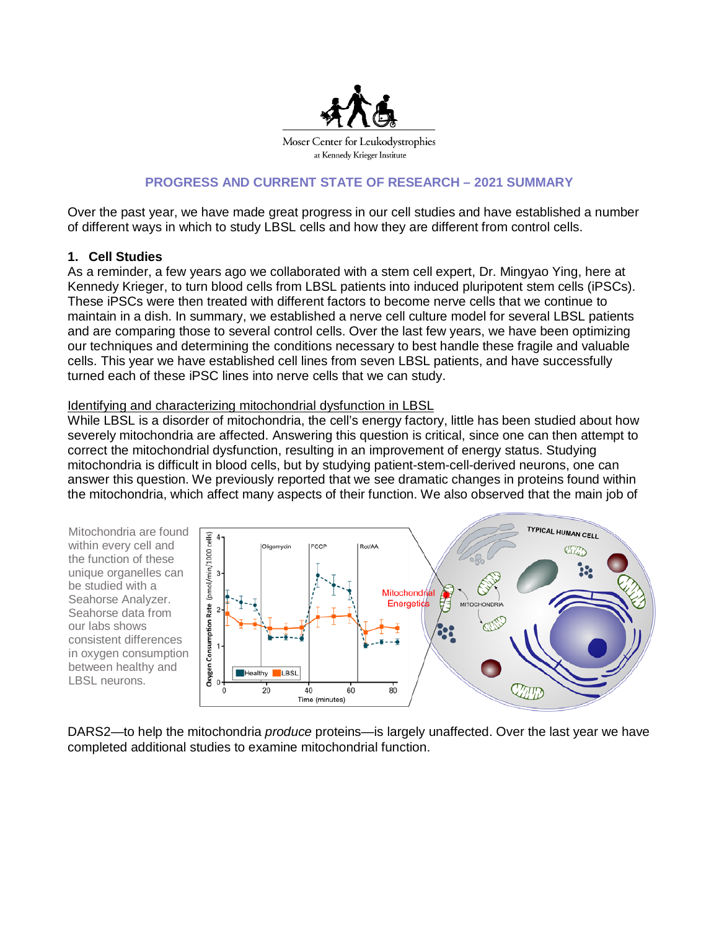

# **PROGRESS AND CURRENT STATE OF RESEARCH – 2021 SUMMARY**

Over the past year, we have made great progress in our cell studies and have established a number of different ways in which to study LBSL cells and how they are different from control cells.

## **1. Cell Studies**

As a reminder, a few years ago we collaborated with a stem cell expert, Dr. Mingyao Ying, here at Kennedy Krieger, to turn blood cells from LBSL patients into induced pluripotent stem cells (iPSCs). These iPSCs were then treated with different factors to become nerve cells that we continue to maintain in a dish. In summary, we established a nerve cell culture model for several LBSL patients and are comparing those to several control cells. Over the last few years, we have been optimizing our techniques and determining the conditions necessary to best handle these fragile and valuable cells. This year we have established cell lines from seven LBSL patients, and have successfully turned each of these iPSC lines into nerve cells that we can study.

### Identifying and characterizing mitochondrial dysfunction in LBSL

While LBSL is a disorder of mitochondria, the cell's energy factory, little has been studied about how severely mitochondria are affected. Answering this question is critical, since one can then attempt to correct the mitochondrial dysfunction, resulting in an improvement of energy status. Studying mitochondria is difficult in blood cells, but by studying patient-stem-cell-derived neurons, one can answer this question. We previously reported that we see dramatic changes in proteins found within the mitochondria, which affect many aspects of their function. We also observed that the main job of

Mitochondria are found within every cell and the function of these unique organelles can be studied with a Seahorse Analyzer. Seahorse data from our labs shows consistent differences in oxygen consumption between healthy and LBSL neurons.



DARS2—to help the mitochondria *produce* proteins—is largely unaffected. Over the last year we have completed additional studies to examine mitochondrial function.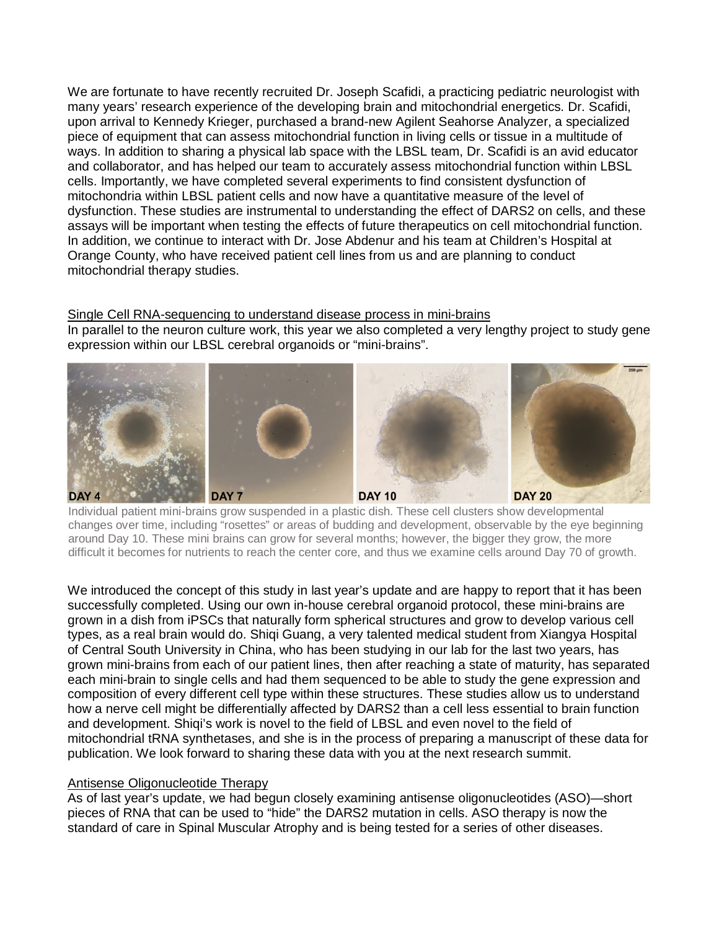We are fortunate to have recently recruited Dr. Joseph Scafidi, a practicing pediatric neurologist with many years' research experience of the developing brain and mitochondrial energetics. Dr. Scafidi, upon arrival to Kennedy Krieger, purchased a brand-new Agilent Seahorse Analyzer, a specialized piece of equipment that can assess mitochondrial function in living cells or tissue in a multitude of ways. In addition to sharing a physical lab space with the LBSL team, Dr. Scafidi is an avid educator and collaborator, and has helped our team to accurately assess mitochondrial function within LBSL cells. Importantly, we have completed several experiments to find consistent dysfunction of mitochondria within LBSL patient cells and now have a quantitative measure of the level of dysfunction. These studies are instrumental to understanding the effect of DARS2 on cells, and these assays will be important when testing the effects of future therapeutics on cell mitochondrial function. In addition, we continue to interact with Dr. Jose Abdenur and his team at Children's Hospital at Orange County, who have received patient cell lines from us and are planning to conduct mitochondrial therapy studies.

Single Cell RNA-sequencing to understand disease process in mini-brains In parallel to the neuron culture work, this year we also completed a very lengthy project to study gene expression within our LBSL cerebral organoids or "mini-brains".



Individual patient mini-brains grow suspended in a plastic dish. These cell clusters show developmental changes over time, including "rosettes" or areas of budding and development, observable by the eye beginning around Day 10. These mini brains can grow for several months; however, the bigger they grow, the more difficult it becomes for nutrients to reach the center core, and thus we examine cells around Day 70 of growth.

We introduced the concept of this study in last year's update and are happy to report that it has been successfully completed. Using our own in-house cerebral organoid protocol, these mini-brains are grown in a dish from iPSCs that naturally form spherical structures and grow to develop various cell types, as a real brain would do. Shiqi Guang, a very talented medical student from Xiangya Hospital of Central South University in China, who has been studying in our lab for the last two years, has grown mini-brains from each of our patient lines, then after reaching a state of maturity, has separated each mini-brain to single cells and had them sequenced to be able to study the gene expression and composition of every different cell type within these structures. These studies allow us to understand how a nerve cell might be differentially affected by DARS2 than a cell less essential to brain function and development. Shiqi's work is novel to the field of LBSL and even novel to the field of mitochondrial tRNA synthetases, and she is in the process of preparing a manuscript of these data for publication. We look forward to sharing these data with you at the next research summit.

### Antisense Oligonucleotide Therapy

As of last year's update, we had begun closely examining antisense oligonucleotides (ASO)—short pieces of RNA that can be used to "hide" the DARS2 mutation in cells. ASO therapy is now the standard of care in Spinal Muscular Atrophy and is being tested for a series of other diseases.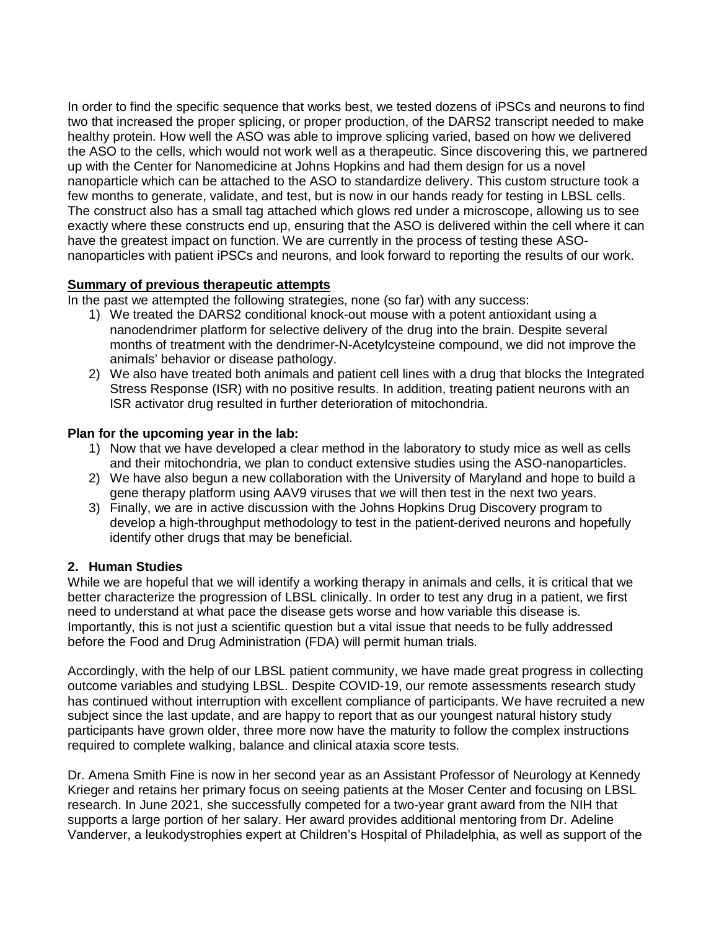In order to find the specific sequence that works best, we tested dozens of iPSCs and neurons to find two that increased the proper splicing, or proper production, of the DARS2 transcript needed to make healthy protein. How well the ASO was able to improve splicing varied, based on how we delivered the ASO to the cells, which would not work well as a therapeutic. Since discovering this, we partnered up with the Center for Nanomedicine at Johns Hopkins and had them design for us a novel nanoparticle which can be attached to the ASO to standardize delivery. This custom structure took a few months to generate, validate, and test, but is now in our hands ready for testing in LBSL cells. The construct also has a small tag attached which glows red under a microscope, allowing us to see exactly where these constructs end up, ensuring that the ASO is delivered within the cell where it can have the greatest impact on function. We are currently in the process of testing these ASOnanoparticles with patient iPSCs and neurons, and look forward to reporting the results of our work.

# **Summary of previous therapeutic attempts**

In the past we attempted the following strategies, none (so far) with any success:

- 1) We treated the DARS2 conditional knock-out mouse with a potent antioxidant using a nanodendrimer platform for selective delivery of the drug into the brain. Despite several months of treatment with the dendrimer-N-Acetylcysteine compound, we did not improve the animals' behavior or disease pathology.
- 2) We also have treated both animals and patient cell lines with a drug that blocks the Integrated Stress Response (ISR) with no positive results. In addition, treating patient neurons with an ISR activator drug resulted in further deterioration of mitochondria.

# **Plan for the upcoming year in the lab:**

- 1) Now that we have developed a clear method in the laboratory to study mice as well as cells and their mitochondria, we plan to conduct extensive studies using the ASO-nanoparticles.
- 2) We have also begun a new collaboration with the University of Maryland and hope to build a gene therapy platform using AAV9 viruses that we will then test in the next two years.
- 3) Finally, we are in active discussion with the Johns Hopkins Drug Discovery program to develop a high-throughput methodology to test in the patient-derived neurons and hopefully identify other drugs that may be beneficial.

# **2. Human Studies**

While we are hopeful that we will identify a working therapy in animals and cells, it is critical that we better characterize the progression of LBSL clinically. In order to test any drug in a patient, we first need to understand at what pace the disease gets worse and how variable this disease is. Importantly, this is not just a scientific question but a vital issue that needs to be fully addressed before the Food and Drug Administration (FDA) will permit human trials.

Accordingly, with the help of our LBSL patient community, we have made great progress in collecting outcome variables and studying LBSL. Despite COVID-19, our remote assessments research study has continued without interruption with excellent compliance of participants. We have recruited a new subject since the last update, and are happy to report that as our youngest natural history study participants have grown older, three more now have the maturity to follow the complex instructions required to complete walking, balance and clinical ataxia score tests.

Dr. Amena Smith Fine is now in her second year as an Assistant Professor of Neurology at Kennedy Krieger and retains her primary focus on seeing patients at the Moser Center and focusing on LBSL research. In June 2021, she successfully competed for a two-year grant award from the NIH that supports a large portion of her salary. Her award provides additional mentoring from Dr. Adeline Vanderver, a leukodystrophies expert at Children's Hospital of Philadelphia, as well as support of the